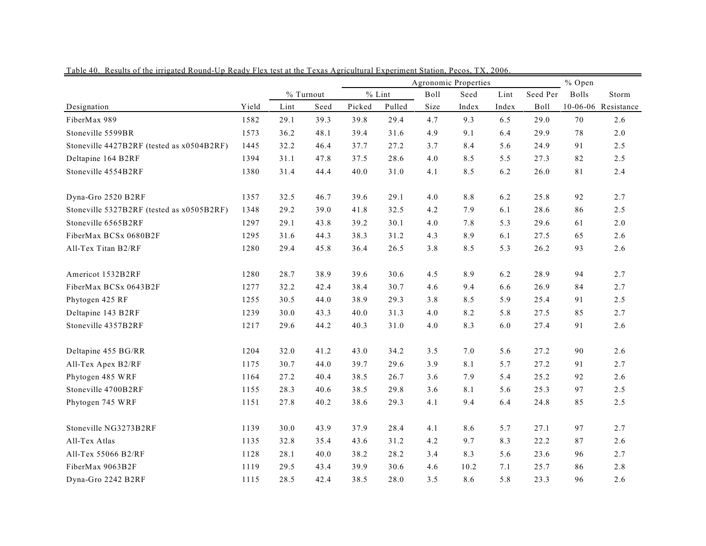|                                           |       |      |           |        | Agronomic Properties | % Open |         |       |             |              |                     |
|-------------------------------------------|-------|------|-----------|--------|----------------------|--------|---------|-------|-------------|--------------|---------------------|
|                                           |       |      | % Turnout |        | $%$ Lint             | Boll   | Seed    | Lint  | Seed Per    | <b>Bolls</b> | Storm               |
| Designation                               | Yield | Lint | Seed      | Picked | Pulled               | Size   | Index   | Index | <b>Boll</b> |              | 10-06-06 Resistance |
| FiberMax 989                              | 1582  | 29.1 | 39.3      | 39.8   | 29.4                 | 4.7    | 9.3     | 6.5   | 29.0        | 70           | 2.6                 |
| Stoneville 5599BR                         | 1573  | 36.2 | 48.1      | 39.4   | 31.6                 | 4.9    | 9.1     | 6.4   | 29.9        | 78           | $2.0$               |
| Stoneville 4427B2RF (tested as x0504B2RF) | 1445  | 32.2 | 46.4      | 37.7   | 27.2                 | 3.7    | 8.4     | 5.6   | 24.9        | 91           | 2.5                 |
| Deltapine 164 B2RF                        | 1394  | 31.1 | 47.8      | 37.5   | 28.6                 | 4.0    | 8.5     | 5.5   | 27.3        | 82           | 2.5                 |
| Stoneville 4554B2RF                       | 1380  | 31.4 | 44.4      | 40.0   | 31.0                 | 4.1    | 8.5     | 6.2   | 26.0        | 81           | 2.4                 |
| Dyna-Gro 2520 B2RF                        | 1357  | 32.5 | 46.7      | 39.6   | 29.1                 | 4.0    | $8.8\,$ | 6.2   | 25.8        | 92           | 2.7                 |
| Stoneville 5327B2RF (tested as x0505B2RF) | 1348  | 29.2 | 39.0      | 41.8   | 32.5                 | 4.2    | 7.9     | 6.1   | 28.6        | 86           | 2.5                 |
| Stoneville 6565B2RF                       | 1297  | 29.1 | 43.8      | 39.2   | 30.1                 | 4.0    | 7.8     | 5.3   | 29.6        | 61           | $2.0$               |
| FiberMax BCSx 0680B2F                     | 1295  | 31.6 | 44.3      | 38.3   | 31.2                 | 4.3    | 8.9     | 6.1   | 27.5        | 65           | 2.6                 |
| All-Tex Titan B2/RF                       | 1280  | 29.4 | 45.8      | 36.4   | 26.5                 | 3.8    | 8.5     | 5.3   | 26.2        | 93           | 2.6                 |
| Americot 1532B2RF                         | 1280  | 28.7 | 38.9      | 39.6   | 30.6                 | 4.5    | 8.9     | 6.2   | 28.9        | 94           | 2.7                 |
| FiberMax BCSx 0643B2F                     | 1277  | 32.2 | 42.4      | 38.4   | 30.7                 | 4.6    | 9.4     | 6.6   | 26.9        | 84           | 2.7                 |
| Phytogen 425 RF                           | 1255  | 30.5 | 44.0      | 38.9   | 29.3                 | 3.8    | 8.5     | 5.9   | 25.4        | 91           | 2.5                 |
| Deltapine 143 B2RF                        | 1239  | 30.0 | 43.3      | 40.0   | 31.3                 | 4.0    | 8.2     | 5.8   | 27.5        | 85           | 2.7                 |
| Stoneville 4357B2RF                       | 1217  | 29.6 | 44.2      | 40.3   | 31.0                 | 4.0    | 8.3     | 6.0   | 27.4        | 91           | 2.6                 |
| Deltapine 455 BG/RR                       | 1204  | 32.0 | 41.2      | 43.0   | 34.2                 | 3.5    | $7.0\,$ | 5.6   | 27.2        | 90           | 2.6                 |
| All-Tex Apex B2/RF                        | 1175  | 30.7 | 44.0      | 39.7   | 29.6                 | 3.9    | 8.1     | 5.7   | 27.2        | 91           | 2.7                 |
| Phytogen 485 WRF                          | 1164  | 27.2 | 40.4      | 38.5   | 26.7                 | 3.6    | 7.9     | 5.4   | 25.2        | 92           | 2.6                 |
| Stoneville 4700B2RF                       | 1155  | 28.3 | 40.6      | 38.5   | 29.8                 | 3.6    | 8.1     | 5.6   | 25.3        | 97           | 2.5                 |
| Phytogen 745 WRF                          | 1151  | 27.8 | 40.2      | 38.6   | 29.3                 | 4.1    | 9.4     | 6.4   | 24.8        | 85           | 2.5                 |
| Stoneville NG3273B2RF                     | 1139  | 30.0 | 43.9      | 37.9   | 28.4                 | 4.1    | 8.6     | 5.7   | 27.1        | 97           | 2.7                 |
| All-Tex Atlas                             | 1135  | 32.8 | 35.4      | 43.6   | 31.2                 | 4.2    | 9.7     | 8.3   | 22.2        | 87           | 2.6                 |
| All-Tex 55066 B2/RF                       | 1128  | 28.1 | 40.0      | 38.2   | 28.2                 | 3.4    | 8.3     | 5.6   | 23.6        | 96           | 2.7                 |
| FiberMax 9063B2F                          | 1119  | 29.5 | 43.4      | 39.9   | 30.6                 | 4.6    | 10.2    | 7.1   | 25.7        | 86           | 2.8                 |
| Dyna-Gro 2242 B2RF                        | 1115  | 28.5 | 42.4      | 38.5   | 28.0                 | 3.5    | 8.6     | 5.8   | 23.3        | 96           | 2.6                 |

Table 40. Results of the irrigated Round-Up Ready Flex test at the Texas Agricultural Experiment Station, Pecos, TX, 2006.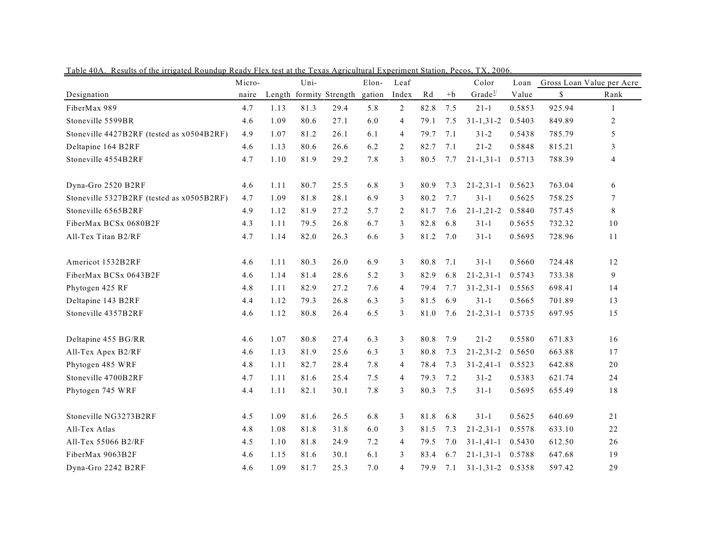| Laule 40A.<br><u>Results of the impated Roundalp Ready Fiex test at the Texas Agricultural Experiment Station, Fecos, T.A. 2000.</u> | Micro- |      | Uni- |                         | Elon-  | Leaf           |      |      | Color               | Loan   |        | Gross Loan Value per Acre |
|--------------------------------------------------------------------------------------------------------------------------------------|--------|------|------|-------------------------|--------|----------------|------|------|---------------------|--------|--------|---------------------------|
| Designation                                                                                                                          | naire  |      |      | Length formity Strength | gation | Index          | Rd   | $+b$ | Grade $\frac{1}{2}$ | Value  | \$     | Rank                      |
| FiberMax 989                                                                                                                         | 4.7    | 1.13 | 81.3 | 29.4                    | 5.8    | 2              | 82.8 | 7.5  | $21 - 1$            | 0.5853 | 925.94 | -1                        |
| Stoneville 5599BR                                                                                                                    | 4.6    | 1.09 | 80.6 | 27.1                    | 6.0    | $\overline{4}$ | 79.1 | 7.5  | $31 - 1, 31 - 2$    | 0.5403 | 849.89 | 2                         |
| Stoneville 4427B2RF (tested as x0504B2RF)                                                                                            | 4.9    | 1.07 | 81.2 | 26.1                    | 6.1    | $\overline{4}$ | 79.7 | 7.1  | $31 - 2$            | 0.5438 | 785.79 | 5                         |
| Deltapine 164 B2RF                                                                                                                   | 4.6    | 1.13 | 80.6 | 26.6                    | 6.2    | 2              | 82.7 | 7.1  | $21 - 2$            | 0.5848 | 815.21 | 3                         |
| Stoneville 4554B2RF                                                                                                                  | 4.7    | 1.10 | 81.9 | 29.2                    | 7.8    | 3              | 80.5 | 7.7  | $21 - 1, 31 - 1$    | 0.5713 | 788.39 | 4                         |
| Dyna-Gro 2520 B2RF                                                                                                                   | 4.6    | 1.11 | 80.7 | 25.5                    | 6.8    | 3              | 80.9 | 7.3  | $21 - 2, 31 - 1$    | 0.5623 | 763.04 | 6                         |
| Stoneville 5327B2RF (tested as x0505B2RF)                                                                                            | 4.7    | 1.09 | 81.8 | 28.1                    | 6.9    | 3              | 80.2 | 7.7  | $31-1$              | 0.5625 | 758.25 | 7                         |
| Stoneville 6565B2RF                                                                                                                  | 4.9    | 1.12 | 81.9 | 27.2                    | 5.7    | 2              | 81.7 | 7.6  | $21 - 1, 21 - 2$    | 0.5840 | 757.45 | 8                         |
| FiberMax BCSx 0680B2F                                                                                                                | 4.3    | 1.11 | 79.5 | 26.8                    | 6.7    | 3              | 82.8 | 6.8  | $31 - 1$            | 0.5655 | 732.32 | 10                        |
| All-Tex Titan B2/RF                                                                                                                  | 4.7    | 1.14 | 82.0 | 26.3                    | 6.6    | 3              | 81.2 | 7.0  | $31 - 1$            | 0.5695 | 728.96 | 11                        |
| Americot 1532B2RF                                                                                                                    | 4.6    | 1.11 | 80.3 | 26.0                    | 6.9    | 3              | 80.8 | 7.1  | $31 - 1$            | 0.5660 | 724.48 | 12                        |
| FiberMax BCSx 0643B2F                                                                                                                | 4.6    | 1.14 | 81.4 | 28.6                    | 5.2    | 3              | 82.9 | 6.8  | $21 - 2, 31 - 1$    | 0.5743 | 733.38 | 9                         |
| Phytogen 425 RF                                                                                                                      | 4.8    | 1.11 | 82.9 | 27.2                    | 7.6    | $\overline{4}$ | 79.4 | 7.7  | $31 - 2, 31 - 1$    | 0.5565 | 698.41 | 14                        |
| Deltapine 143 B2RF                                                                                                                   | 4.4    | 1.12 | 79.3 | 26.8                    | 6.3    | 3              | 81.5 | 6.9  | $31-1$              | 0.5665 | 701.89 | 13                        |
| Stoneville 4357B2RF                                                                                                                  | 4.6    | 1.12 | 80.8 | 26.4                    | 6.5    | 3              | 81.0 | 7.6  | $21 - 2, 31 - 1$    | 0.5735 | 697.95 | 15                        |
| Deltapine 455 BG/RR                                                                                                                  | 4.6    | 1.07 | 80.8 | 27.4                    | 6.3    | 3              | 80.8 | 7.9  | $21 - 2$            | 0.5580 | 671.83 | 16                        |
| All-Tex Apex B2/RF                                                                                                                   | 4.6    | 1.13 | 81.9 | 25.6                    | 6.3    | 3              | 80.8 | 7.3  | $21 - 2, 31 - 2$    | 0.5650 | 663.88 | 17                        |
| Phytogen 485 WRF                                                                                                                     | 4.8    | 1.11 | 82.7 | 28.4                    | 7.8    | $\overline{4}$ | 78.4 | 7.3  | $31 - 2, 41 - 1$    | 0.5523 | 642.88 | 20                        |
| Stoneville 4700B2RF                                                                                                                  | 4.7    | 1.11 | 81.6 | 25.4                    | 7.5    | $\overline{4}$ | 79.3 | 7.2  | $31 - 2$            | 0.5383 | 621.74 | 24                        |
| Phytogen 745 WRF                                                                                                                     | 4.4    | 1.11 | 82.1 | 30.1                    | 7.8    | 3              | 80.3 | 7.5  | $31 - 1$            | 0.5695 | 655.49 | 18                        |
| Stoneville NG3273B2RF                                                                                                                | 4.5    | 1.09 | 81.6 | 26.5                    | 6.8    | 3              | 81.8 | 6.8  | $31 - 1$            | 0.5625 | 640.69 | 21                        |
| All-Tex Atlas                                                                                                                        | 4.8    | 1.08 | 81.8 | 31.8                    | 6.0    | 3              | 81.5 | 7.3  | $21 - 2, 31 - 1$    | 0.5578 | 633.10 | 22                        |
| All-Tex 55066 B2/RF                                                                                                                  | 4.5    | 1.10 | 81.8 | 24.9                    | 7.2    | $\overline{4}$ | 79.5 | 7.0  | $31 - 1, 41 - 1$    | 0.5430 | 612.50 | 26                        |
| FiberMax 9063B2F                                                                                                                     | 4.6    | 1.15 | 81.6 | 30.1                    | 6.1    | 3              | 83.4 | 6.7  | 21-1,31-1 0.5788    |        | 647.68 | 19                        |
| Dyna-Gro 2242 B2RF                                                                                                                   | 4.6    | 1.09 | 81.7 | 25.3                    | 7.0    | $\overline{4}$ | 79.9 | 7.1  | $31-1,31-2$ 0.5358  |        | 597.42 | 29                        |

Table 40A. Results of the irrigated Roundup Ready Flex test at the Texas Agricultural Experiment Station, Pecos, TX, 2006.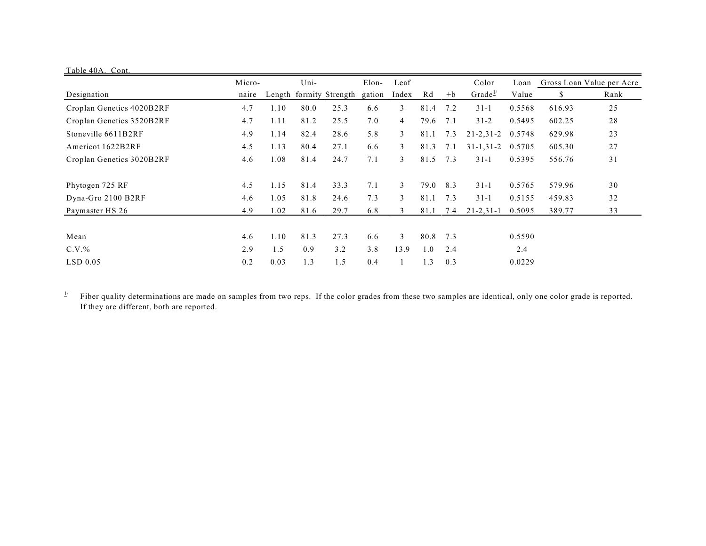| Table 40A. Cont.          |        |      |      |                         |        |                |       |                                |                     |        |        |      |
|---------------------------|--------|------|------|-------------------------|--------|----------------|-------|--------------------------------|---------------------|--------|--------|------|
|                           | Micro- | Uni- |      | Leaf<br>Elon-           |        |                | Color | Loan Gross Loan Value per Acre |                     |        |        |      |
| Designation               | naire  |      |      | Length formity Strength | gation | Index          | Rd    | $+b$                           | Grade $\frac{1}{2}$ | Value  | S.     | Rank |
| Croplan Genetics 4020B2RF | 4.7    | 1.10 | 80.0 | 25.3                    | 6.6    | 3              | 81.4  | 7.2                            | $31 - 1$            | 0.5568 | 616.93 | 25   |
| Croplan Genetics 3520B2RF | 4.7    | 1.11 | 81.2 | 25.5                    | 7.0    | $\overline{4}$ | 79.6  | 7.1                            | $31 - 2$            | 0.5495 | 602.25 | 28   |
| Stoneville 6611B2RF       | 4.9    | 1.14 | 82.4 | 28.6                    | 5.8    | 3              | 81.1  | 7.3                            | $21 - 2, 31 - 2$    | 0.5748 | 629.98 | 23   |
| Americot 1622B2RF         | 4.5    | 1.13 | 80.4 | 27.1                    | 6.6    | 3              | 81.3  | 7.1                            | $31 - 1, 31 - 2$    | 0.5705 | 605.30 | 27   |
| Croplan Genetics 3020B2RF | 4.6    | 1.08 | 81.4 | 24.7                    | 7.1    | 3              | 81.5  | 7.3                            | $31 - 1$            | 0.5395 | 556.76 | 31   |
| Phytogen 725 RF           | 4.5    | 1.15 | 81.4 | 33.3                    | 7.1    | 3              | 79.0  | 8.3                            | $31 - 1$            | 0.5765 | 579.96 | 30   |
| Dyna-Gro 2100 B2RF        | 4.6    | 1.05 | 81.8 | 24.6                    | 7.3    | 3              | 81.1  | 7.3                            | $31 - 1$            | 0.5155 | 459.83 | 32   |
| Paymaster HS 26           | 4.9    | 1.02 | 81.6 | 29.7                    | 6.8    | 3              | 81.1  | 7.4                            | $21 - 2, 31 - 1$    | 0.5095 | 389.77 | 33   |
|                           |        |      |      |                         |        |                |       |                                |                     |        |        |      |
| Mean                      | 4.6    | 1.10 | 81.3 | 27.3                    | 6.6    | 3              | 80.8  | 7.3                            |                     | 0.5590 |        |      |
| $C.V.$ %                  | 2.9    | 1.5  | 0.9  | 3.2                     | 3.8    | 13.9           | 1.0   | 2.4                            |                     | 2.4    |        |      |
| $LSD$ 0.05                | 0.2    | 0.03 | 1.3  | 1.5                     | 0.4    |                | 1.3   | 0.3                            |                     | 0.0229 |        |      |

Fiber quality determinations are made on samples from two reps. If the color grades from these two samples are identical, only one color grade is reported.  $\underline{1}/$ If they are different, both are reported.